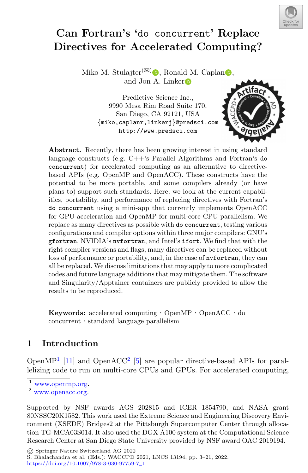

# Can Fortran's 'do concurrent' Replace Directives for Accelerated Computing?

Miko M. Stulajter ${}^{(\boxtimes)}\bullet$ [,](http://orcid.org/0000-0003-0939-1055) Ro[n](http://orcid.org/0000-0002-2633-4290)ald M. Caplan $\bullet$ , and Jon A. Linke[r](http://orcid.org/0000-0003-1662-3328)

> Predictive Science Inc., 9990 Mesa Rim Road Suite 170, San Diego, CA 92121, USA {miko,caplanr,linkerj}@predsci.com http://www.predsci.com



Abstract. Recently, there has been growing interest in using standard language constructs (e.g. C++'s Parallel Algorithms and Fortran's do concurrent) for accelerated computing as an alternative to directivebased APIs (e.g. OpenMP and OpenACC). These constructs have the potential to be more portable, and some compilers already (or have plans to) support such standards. Here, we look at the current capabilities, portability, and performance of replacing directives with Fortran's do concurrent using a mini-app that currently implements OpenACC for GPU-acceleration and OpenMP for multi-core CPU parallelism. We replace as many directives as possible with do concurrent, testing various configurations and compiler options within three major compilers: GNU's gfortran, NVIDIA's nvfortran, and Intel's ifort. We find that with the right compiler versions and flags, many directives can be replaced without loss of performance or portability, and, in the case of nvfortran, they can all be replaced. We discuss limitations that may apply to more complicated codes and future language additions that may mitigate them. The software and Singularity/Apptainer containers are publicly provided to allow the results to be reproduced.

Keywords: accelerated computing · OpenMP · OpenACC · do concurrent · standard language parallelism

## 1 Introduction

Open $MP<sup>1</sup>$  [\[11](#page-18-0)] and OpenACC<sup>2</sup> [\[5](#page-18-1)] are popular directive-based APIs for parallelizing code to run on multi-core CPUs and GPUs. For accelerated computing,

© Springer Nature Switzerland AG 2022

S. Bhalachandra et al. (Eds.): WACCPD 2021, LNCS 13194, pp. 3–21, 2022.

[https://doi.org/10.1007/978-3-030-97759-7](https://doi.org/10.1007/978-3-030-97759-7_1)\_<sup>1</sup>

[www.openmp.org.](www.openmp.org)

<sup>2</sup> [www.openacc.org.](www.openacc.org)

Supported by NSF awards AGS 202815 and ICER 1854790, and NASA grant 80NSSC20K1582. This work used the Extreme Science and Engineering Discovery Environment (XSEDE) Bridges2 at the Pittsburgh Supercomputer Center through allocation TG-MCA03S014. It also used the DGX A100 system at the Computational Science Research Center at San Diego State University provided by NSF award OAC 2019194.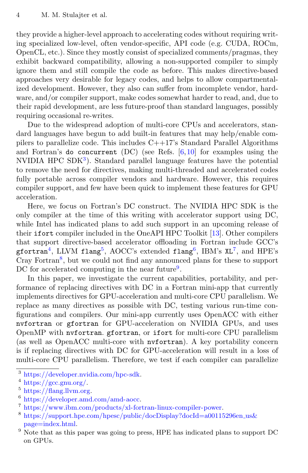they provide a higher-level approach to accelerating codes without requiring writing specialized low-level, often vendor-specific, API code (e.g. CUDA, ROCm, OpenCL, etc.). Since they mostly consist of specialized comments/pragmas, they exhibit backward compatibility, allowing a non-supported compiler to simply ignore them and still compile the code as before. This makes directive-based approaches very desirable for legacy codes, and helps to allow compartmentalized development. However, they also can suffer from incomplete vendor, hardware, and/or compiler support, make codes somewhat harder to read, and, due to their rapid development, are less future-proof than standard languages, possibly requiring occasional re-writes.

Due to the widespread adoption of multi-core CPUs and accelerators, standard languages have begun to add built-in features that may help/enable compilers to parallelize code. This includes C++17's Standard Parallel Algorithms and Fortran's do concurrent  $(DC)$  (see Refs.  $[6,10]$  $[6,10]$  for examples using the NVIDIA HPC SDK<sup>[3](#page-1-0)</sup>). Standard parallel language features have the potential to remove the need for directives, making multi-threaded and accelerated codes fully portable across compiler vendors and hardware. However, this requires compiler support, and few have been quick to implement these features for GPU acceleration.

Here, we focus on Fortran's DC construct. The NVIDIA HPC SDK is the only compiler at the time of this writing with accelerator support using DC, while Intel has indicated plans to add such support in an upcoming release of their ifort compiler included in the OneAPI HPC Toolkit [\[13\]](#page-18-4). Other compilers that support directive-based accelerator offloading in Fortran include GCC's  $\mathsf{gfortran}^4$  $\mathsf{gfortran}^4$ , LLVM  $\mathsf{flang}^5$  $\mathsf{flang}^5$ , AOCC's extended  $\mathsf{flang}^6$  $\mathsf{flang}^6$ , IBM's XL<sup>[7](#page-1-4)</sup>, and HPE's Cray Fortran<sup>[8](#page-1-5)</sup>, but we could not find any announced plans for these to support DC for accelerated computing in the near future<sup>[9](#page-1-6)</sup>.

In this paper, we investigate the current capabilities, portability, and performance of replacing directives with DC in a Fortran mini-app that currently implements directives for GPU-acceleration and multi-core CPU parallelism. We replace as many directives as possible with DC, testing various run-time configurations and compilers. Our mini-app currently uses OpenACC with either nvfortran or gfortran for GPU-acceleration on NVIDIA GPUs, and uses OpenMP with nvfortran. gfortran, or ifort for multi-core CPU parallelism (as well as OpenACC multi-core with nvfortran). A key portability concern is if replacing directives with DC for GPU-acceleration will result in a loss of multi-core CPU parallelism. Therefore, we test if each compiler can parallelize

<span id="page-1-0"></span><sup>3</sup> [https://developer.nvidia.com/hpc-sdk.](https://developer.nvidia.com/hpc-sdk)

<span id="page-1-1"></span> $^4$  [https://gcc.gnu.org/.](https://gcc.gnu.org/)

<span id="page-1-2"></span> $^5$  [https://flang.llvm.org.](https://flang.llvm.org)

<span id="page-1-3"></span><sup>6</sup> [https://developer.amd.com/amd-aocc.](https://developer.amd.com/amd-aocc)

<span id="page-1-4"></span> $7 \text{ https://www.ibm.com/products/xl-fortran-linux-complier-power.}$ 

<span id="page-1-5"></span><sup>&</sup>lt;sup>8</sup> [https://support.hpe.com/hpesc/public/docDisplay?docId=a00115296en](https://support.hpe.com/hpesc/public/docDisplay?docId=a00115296en_us&page=index.html)\_us& [page=index.html.](https://support.hpe.com/hpesc/public/docDisplay?docId=a00115296en_us&page=index.html)

<span id="page-1-6"></span><sup>&</sup>lt;sup>9</sup> Note that as this paper was going to press, HPE has indicated plans to support DC on GPUs.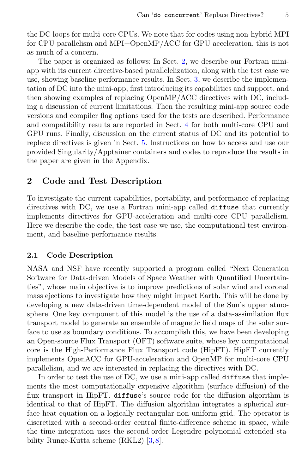the DC loops for multi-core CPUs. We note that for codes using non-hybrid MPI for CPU parallelism and MPI+OpenMP/ACC for GPU acceleration, this is not as much of a concern.

The paper is organized as follows: In Sect. [2,](#page-2-0) we describe our Fortran miniapp with its current directive-based parallelelization, along with the test case we use, showing baseline performance results. In Sect. [3,](#page-5-0) we describe the implementation of DC into the mini-app, first introducing its capabilities and support, and then showing examples of replacing OpenMP/ACC directives with DC, including a discussion of current limitations. Then the resulting mini-app source code versions and compiler flag options used for the tests are described. Performance and compatibility results are reported in Sect. [4](#page-10-0) for both multi-core CPU and GPU runs. Finally, discussion on the current status of DC and its potential to replace directives is given in Sect. [5.](#page-14-0) Instructions on how to access and use our provided Singularity/Apptainer containers and codes to reproduce the results in the paper are given in the Appendix.

## <span id="page-2-0"></span>2 Code and Test Description

To investigate the current capabilities, portability, and performance of replacing directives with DC, we use a Fortran mini-app called diffuse that currently implements directives for GPU-acceleration and multi-core CPU parallelism. Here we describe the code, the test case we use, the computational test environment, and baseline performance results.

#### 2.1 Code Description

NASA and NSF have recently supported a program called "Next Generation Software for Data-driven Models of Space Weather with Quantified Uncertainties", whose main objective is to improve predictions of solar wind and coronal mass ejections to investigate how they might impact Earth. This will be done by developing a new data-driven time-dependent model of the Sun's upper atmosphere. One key component of this model is the use of a data-assimilation flux transport model to generate an ensemble of magnetic field maps of the solar surface to use as boundary conditions. To accomplish this, we have been developing an Open-source Flux Transport (OFT) software suite, whose key computational core is the High-Performance Flux Transport code (HipFT). HipFT currently implements OpenACC for GPU-acceleration and OpenMP for multi-core CPU parallelism, and we are interested in replacing the directives with DC.

In order to test the use of DC, we use a mini-app called diffuse that implements the most computationally expensive algorithm (surface diffusion) of the flux transport in HipFT. diffuse's source code for the diffusion algorithm is identical to that of HipFT. The diffusion algorithm integrates a spherical surface heat equation on a logically rectangular non-uniform grid. The operator is discretized with a second-order central finite-difference scheme in space, while the time integration uses the second-order Legendre polynomial extended stability Runge-Kutta scheme (RKL2) [\[3](#page-18-5)[,8](#page-18-6)].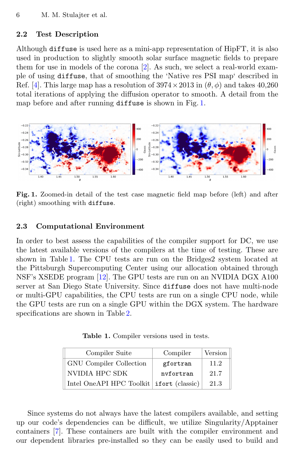#### <span id="page-3-2"></span>2.2 Test Description

Although diffuse is used here as a mini-app representation of HipFT, it is also used in production to slightly smooth solar surface magnetic fields to prepare them for use in models of the corona [\[2](#page-18-7)]. As such, we select a real-world example of using diffuse, that of smoothing the 'Native res PSI map' described in Ref. [\[4](#page-18-8)]. This large map has a resolution of  $3974 \times 2013$  in  $(\theta, \phi)$  and takes 40.260 total iterations of applying the diffusion operator to smooth. A detail from the map before and after running diffuse is shown in Fig. [1.](#page-3-0)



Fig. 1. Zoomed-in detail of the test case magnetic field map before (left) and after (right) smoothing with diffuse.

#### 2.3 Computational Environment

In order to best assess the capabilities of the compiler support for DC, we use the latest available versions of the compilers at the time of testing. These are shown in Table [1.](#page-3-1) The CPU tests are run on the Bridges2 system located at the Pittsburgh Supercomputing Center using our allocation obtained through NSF's XSEDE program [\[12](#page-18-9)]. The GPU tests are run on an NVIDIA DGX A100 server at San Diego State University. Since diffuse does not have multi-node or multi-GPU capabilities, the CPU tests are run on a single CPU node, while the GPU tests are run on a single GPU within the DGX system. The hardware specifications are shown in Table [2.](#page-4-0)

<span id="page-3-0"></span>Table 1. Compiler versions used in tests.

<span id="page-3-1"></span>

| Compiler Suite                            | Compiler  | Version |
|-------------------------------------------|-----------|---------|
| <b>GNU</b> Compiler Collection            | gfortran  | 11.2    |
| NVIDIA HPC SDK                            | nyfortran | 21.7    |
| Intel OneAPI HPC Toolkit if ort (classic) |           | 21.3    |

Since systems do not always have the latest compilers available, and setting up our code's dependencies can be difficult, we utilize Singularity/Apptainer containers [\[7\]](#page-18-10). These containers are built with the compiler environment and our dependent libraries pre-installed so they can be easily used to build and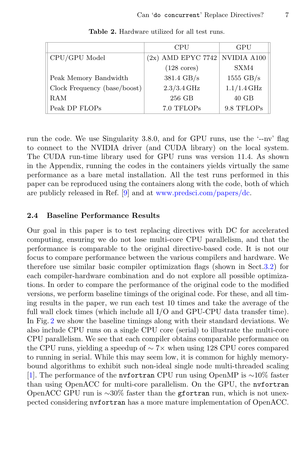<span id="page-4-0"></span>

|                              | CPU                              | GPU                 |
|------------------------------|----------------------------------|---------------------|
| CPU/GPU Model                | $(2x)$ AMD EPYC 7742 NVIDIA A100 |                     |
|                              | $(128 \text{ cores})$            | SXM4                |
| Peak Memory Bandwidth        | 381.4 GB/s                       | $1555 \text{ GB/s}$ |
| Clock Frequency (base/boost) | $2.3/3.4$ GHz                    | $1.1/1.4$ GHz       |
| RAM                          | 256 GB                           | $40$ GB             |
| Peak DP FLOPs                | 7.0 TFLOPs                       | 9.8 TFLOPs          |

Table 2. Hardware utilized for all test runs.

run the code. We use Singularity 3.8.0, and for GPU runs, use the '--nv' flag to connect to the NVIDIA driver (and CUDA library) on the local system. The CUDA run-time library used for GPU runs was version 11.4. As shown in the Appendix, running the codes in the containers yields virtually the same performance as a bare metal installation. All the test runs performed in this paper can be reproduced using the containers along with the code, both of which are publicly released in Ref. [\[9](#page-18-11)] and at [www.predsci.com/papers/dc.](www.predsci.com/papers/dc)

#### <span id="page-4-1"></span>2.4 Baseline Performance Results

Our goal in this paper is to test replacing directives with DC for accelerated computing, ensuring we do not lose multi-core CPU parallelism, and that the performance is comparable to the original directive-based code. It is not our focus to compare performance between the various compilers and hardware. We therefore use similar basic compiler optimization flags (shown in Sect[.3.2\)](#page-7-0) for each compiler-hardware combination and do not explore all possible optimizations. In order to compare the performance of the original code to the modified versions, we perform baseline timings of the original code. For these, and all timing results in the paper, we run each test 10 times and take the average of the full wall clock times (which include all I/O and GPU-CPU data transfer time). In Fig. [2](#page-5-1) we show the baseline timings along with their standard deviations. We also include CPU runs on a single CPU core (serial) to illustrate the multi-core CPU parallelism. We see that each compiler obtains comparable performance on the CPU runs, yielding a speedup of ∼ 7× when using 128 CPU cores compared to running in serial. While this may seem low, it is common for highly memorybound algorithms to exhibit such non-ideal single node multi-threaded scaling [\[1](#page-18-12)]. The performance of the nvfortran CPU run using OpenMP is ∼10% faster than using OpenACC for multi-core parallelism. On the GPU, the nvfortran OpenACC GPU run is ∼30% faster than the gfortran run, which is not unexpected considering nvfortran has a more mature implementation of OpenACC.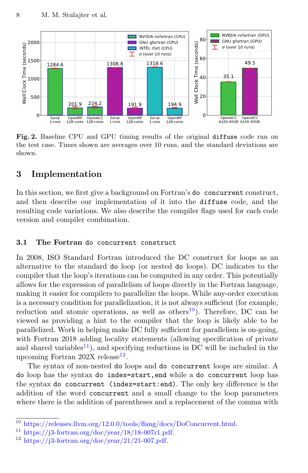

<span id="page-5-1"></span>Fig. 2. Baseline CPU and GPU timing results of the original diffuse code run on the test case. Times shown are averages over 10 runs, and the standard deviations are shown.

## <span id="page-5-0"></span>3 Implementation

In this section, we first give a background on Fortran's do concurrent construct, and then describe our implementation of it into the diffuse code, and the resulting code variations. We also describe the compiler flags used for each code version and compiler combination.

#### 3.1 The Fortran do concurrent construct

In 2008, ISO Standard Fortran introduced the DC construct for loops as an alternative to the standard do loop (or nested do loops). DC indicates to the compiler that the loop's iterations can be computed in any order. This potentially allows for the expression of parallelism of loops directly in the Fortran language, making it easier for compilers to parallelize the loops. While any-order execution is a necessary condition for parallelization, it is not always sufficient (for example, reduction and atomic operations, as well as others<sup>[10](#page-5-2)</sup>). Therefore, DC can be viewed as providing a hint to the compiler that the loop is likely able to be parallelized. Work in helping make DC fully sufficient for parallelism is on-going, with Fortran 2018 adding locality statements (allowing specification of private and shared variables<sup>[11](#page-5-3)</sup>), and specifying reductions in DC will be included in the upcoming Fortran 202X release<sup>[12](#page-5-4)</sup>.

The syntax of non-nested do loops and do concurrent loops are similar. A do loop has the syntax do index=start,end while a do concurrent loop has the syntax do concurrent (index=start:end). The only key difference is the addition of the word concurrent and a small change to the loop parameters where there is the addition of parentheses and a replacement of the comma with

<span id="page-5-2"></span> $\overline{{}^{10}$ [https://releases.llvm.org/12.0.0/tools/flang/docs/DoConcurrent.html.](https://releases.llvm.org/12.0.0/tools/flang/docs/DoConcurrent.html)

<span id="page-5-3"></span> $11 \text{ https://j3-fortran.org/doc/year}/18/18-007r1.pdf.$ 

<span id="page-5-4"></span> $12 \text{ https://j3-fortran.org/doc/year}/21/21-007.pdf.$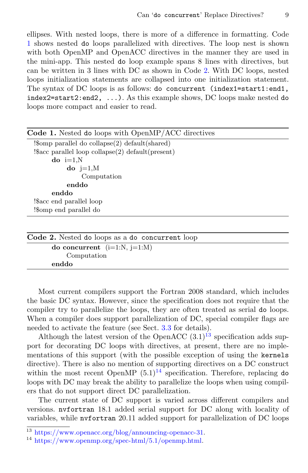ellipses. With nested loops, there is more of a difference in formatting. Code [1](#page-6-0) shows nested do loops parallelized with directives. The loop nest is shown with both OpenMP and OpenACC directives in the manner they are used in the mini-app. This nested do loop example spans 8 lines with directives, but can be written in 3 lines with DC as shown in Code [2.](#page-6-1) With DC loops, nested loops initialization statements are collapsed into one initialization statement. The syntax of DC loops is as follows: do concurrent (index1=start1:end1, index2=start2:end2, ...). As this example shows, DC loops make nested do loops more compact and easier to read.

<span id="page-6-0"></span>

| Code 1. Nested do loops with OpenMP/ACC directives              |
|-----------------------------------------------------------------|
|                                                                 |
| $\frac{1}{2}$ : sacc parallel loop collapse(2) default(present) |
| $\bf{do}$ i=1.N                                                 |
| $\bf{do}$ j=1, $\bf{M}$                                         |
| Computation                                                     |
| enddo                                                           |
| enddo                                                           |
| Sacc end parallel loop!                                         |
| Somp end parallel do!                                           |
|                                                                 |
|                                                                 |

<span id="page-6-1"></span>

| Code 2. Nested do loops as a do concurrent loop |  |
|-------------------------------------------------|--|
| do concurrent $(i=1:N, j=1:M)$                  |  |
| Computation                                     |  |
| enddo                                           |  |

Most current compilers support the Fortran 2008 standard, which includes the basic DC syntax. However, since the specification does not require that the compiler try to parallelize the loops, they are often treated as serial do loops. When a compiler does support parallelization of DC, special compiler flags are needed to activate the feature (see Sect. [3.3](#page-8-0) for details).

Although the latest version of the OpenACC  $(3.1)^{13}$  $(3.1)^{13}$  $(3.1)^{13}$  specification adds support for decorating DC loops with directives, at present, there are no implementations of this support (with the possible exception of using the kernels directive). There is also no mention of supporting directives on a DC construct within the most recent OpenMP  $(5.1)^{14}$  $(5.1)^{14}$  $(5.1)^{14}$  specification. Therefore, replacing do loops with DC may break the ability to parallelize the loops when using compilers that do not support direct DC parallelization.

The current state of DC support is varied across different compilers and versions. nvfortran 18.1 added serial support for DC along with locality of variables, while nvfortran 20.11 added support for parallelization of DC loops

<span id="page-6-2"></span> $\frac{13 \text{ https://www.openacc.org/blog/announcing-openacc-31.}}{13 \text{ https://www.openacc.org/blog/announcing-openacc-31.}}$  $\frac{13 \text{ https://www.openacc.org/blog/announcing-openacc-31.}}{13 \text{ https://www.openacc.org/blog/announcing-openacc-31.}}$  $\frac{13 \text{ https://www.openacc.org/blog/announcing-openacc-31.}}{13 \text{ https://www.openacc.org/blog/announcing-openacc-31.}}$ 

<span id="page-6-3"></span> $14 \text{ https://www.openmp.org/spec-html/5.1/openmp.html}.$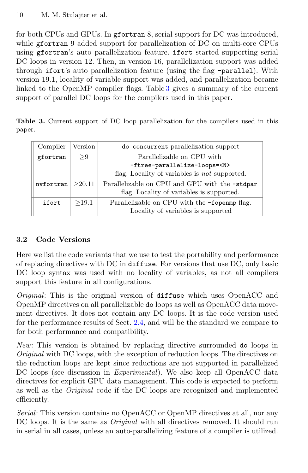for both CPUs and GPUs. In gfortran 8, serial support for DC was introduced, while gfortran 9 added support for parallelization of DC on multi-core CPUs using gfortran's auto parallelization feature. ifort started supporting serial DC loops in version 12. Then, in version 16, parallelization support was added through ifort's auto parallelization feature (using the flag -parallel). With version 19.1, locality of variable support was added, and parallelization became linked to the OpenMP compiler flags. Table [3](#page-7-1) gives a summary of the current support of parallel DC loops for the compilers used in this paper.

<span id="page-7-1"></span>Table 3. Current support of DC loop parallelization for the compilers used in this paper.

| Compiler  | Version | do concurrent parallelization support                                                       |
|-----------|---------|---------------------------------------------------------------------------------------------|
| gfortran  | > 9     | Parallelizable on CPU with                                                                  |
|           |         | -ftree-parallelize-loops= <n></n>                                                           |
|           |         | flag. Locality of variables is not supported.                                               |
| nvfortran | >20.11  | Parallelizable on CPU and GPU with the -stdpar<br>flag. Locality of variables is supported. |
| ifort     | >19.1   | Parallelizable on CPU with the -fopen mp flag.<br>Locality of variables is supported        |

## <span id="page-7-0"></span>3.2 Code Versions

Here we list the code variants that we use to test the portability and performance of replacing directives with DC in diffuse. For versions that use DC, only basic DC loop syntax was used with no locality of variables, as not all compilers support this feature in all configurations.

Original: This is the original version of diffuse which uses OpenACC and OpenMP directives on all parallelizable do loops as well as OpenACC data movement directives. It does not contain any DC loops. It is the code version used for the performance results of Sect. [2.4,](#page-4-1) and will be the standard we compare to for both performance and compatibility.

New: This version is obtained by replacing directive surrounded do loops in Original with DC loops, with the exception of reduction loops. The directives on the reduction loops are kept since reductions are not supported in parallelized DC loops (see discussion in *Experimental*). We also keep all OpenACC data directives for explicit GPU data management. This code is expected to perform as well as the Original code if the DC loops are recognized and implemented efficiently.

Serial: This version contains no OpenACC or OpenMP directives at all, nor any DC loops. It is the same as *Original* with all directives removed. It should run in serial in all cases, unless an auto-parallelizing feature of a compiler is utilized.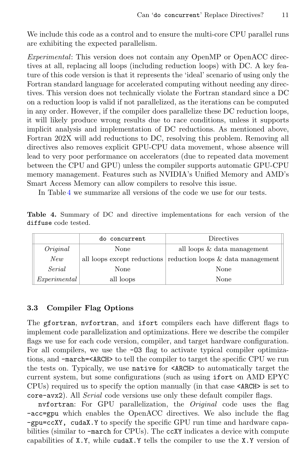We include this code as a control and to ensure the multi-core CPU parallel runs are exhibiting the expected parallelism.

Experimental: This version does not contain any OpenMP or OpenACC directives at all, replacing all loops (including reduction loops) with DC. A key feature of this code version is that it represents the 'ideal' scenario of using only the Fortran standard language for accelerated computing without needing any directives. This version does not technically violate the Fortran standard since a DC on a reduction loop is valid if not parallelized, as the iterations can be computed in any order. However, if the compiler does parallelize these DC reduction loops, it will likely produce wrong results due to race conditions, unless it supports implicit analysis and implementation of DC reductions. As mentioned above, Fortran 202X will add reductions to DC, resolving this problem. Removing all directives also removes explicit GPU-CPU data movement, whose absence will lead to very poor performance on accelerators (due to repeated data movement between the CPU and GPU) unless the compiler supports automatic GPU-CPU memory management. Features such as NVIDIA's Unified Memory and AMD's Smart Access Memory can allow compilers to resolve this issue.

In Table [4](#page-8-1) we summarize all versions of the code we use for our tests.

<span id="page-8-1"></span>Table 4. Summary of DC and directive implementations for each version of the diffuse code tested.

|              | do concurrent | Directives                                                               |  |
|--------------|---------------|--------------------------------------------------------------------------|--|
| Original     | None          | all loops & data management                                              |  |
| New          |               | all loops except reductions $\vert$ reduction loops $\&$ data management |  |
| Serial       | None          | None                                                                     |  |
| Experimental | all loops     | None                                                                     |  |

### <span id="page-8-0"></span>3.3 Compiler Flag Options

The gfortran, nvfortran, and ifort compilers each have different flags to implement code parallelization and optimizations. Here we describe the compiler flags we use for each code version, compiler, and target hardware configuration. For all compilers, we use the  $-03$  flag to activate typical compiler optimizations, and -march=<ARCH> to tell the compiler to target the specific CPU we run the tests on. Typically, we use native for <ARCH> to automatically target the current system, but some configurations (such as using ifort on AMD EPYC CPUs) required us to specify the option manually (in that case <ARCH> is set to core-avx2). All Serial code versions use only these default compiler flags.

nvfortran: For GPU parallelization, the Original code uses the flag -acc=gpu which enables the OpenACC directives. We also include the flag -gpu=ccXY, cudaX.Y to specify the specific GPU run time and hardware capabilities (similar to -march for CPUs). The ccXY indicates a device with compute capabilities of X.Y, while cudaX.Y tells the compiler to use the X.Y version of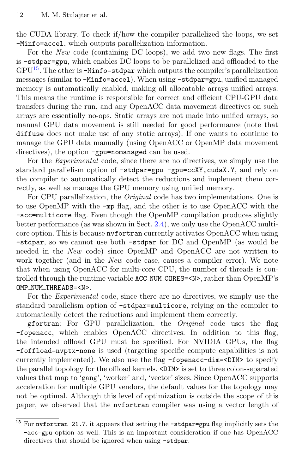the CUDA library. To check if/how the compiler parallelized the loops, we set -Minfo=accel, which outputs parallelization information.

For the New code (containing DC loops), we add two new flags. The first is -stdpar=gpu, which enables DC loops to be parallelized and offloaded to the  $GPU^{15}$  $GPU^{15}$  $GPU^{15}$ . The other is  $-Minfo=stdpar$  which outputs the compiler's parallelization messages (similar to -Minfo=accel). When using -stdpar=gpu, unified managed memory is automatically enabled, making all allocatable arrays unified arrays. This means the runtime is responsible for correct and efficient CPU-GPU data transfers during the run, and any OpenACC data movement directives on such arrays are essentially no-ops. Static arrays are not made into unified arrays, so manual GPU data movement is still needed for good performance (note that diffuse does not make use of any static arrays). If one wants to continue to manage the GPU data manually (using OpenACC or OpenMP data movement directives), the option -gpu=nomanaged can be used.

For the Experimental code, since there are no directives, we simply use the standard parallelism option of -stdpar=gpu -gpu=ccXY, cudaX.Y, and rely on the compiler to automatically detect the reductions and implement them correctly, as well as manage the GPU memory using unified memory.

For CPU parallelization, the Original code has two implementations. One is to use OpenMP with the -mp flag, and the other is to use OpenACC with the -acc=multicore flag. Even though the OpenMP compilation produces slightly better performance (as was shown in Sect. [2.4\)](#page-4-1), we only use the OpenACC multicore option. This is because nvfortran currently activates OpenACC when using -stdpar, so we cannot use both -stdpar for DC and OpenMP (as would be needed in the New code) since OpenMP and OpenACC are not written to work together (and in the New code case, causes a compiler error). We note that when using OpenACC for multi-core CPU, the number of threads is controlled through the runtime variable ACC NUM CORES=<N>, rather than OpenMP's OMP\_NUM\_THREADS=<N>.

For the Experimental code, since there are no directives, we simply use the standard parallelism option of -stdpar=multicore, relying on the compiler to automatically detect the reductions and implement them correctly.

gfortran: For GPU parallelization, the Original code uses the flag -fopenacc, which enables OpenACC directives. In addition to this flag, the intended offload GPU must be specified. For NVIDIA GPUs, the flag -foffload=nvptx-none is used (targeting specific compute capabilities is not currently implemented). We also use the flag -fopenacc-dim=<DIM> to specify the parallel topology for the offload kernels. <DIM> is set to three colon-separated values that map to 'gang', 'worker' and, 'vector' sizes. Since OpenACC supports acceleration for multiple GPU vendors, the default values for the topology may not be optimal. Although this level of optimization is outside the scope of this paper, we observed that the nvfortran compiler was using a vector length of

<span id="page-9-0"></span> $15$  For nvfortran 21.7, it appears that setting the  $-$ stdpar=gpu flag implicitly sets the -acc=gpu option as well. This is an important consideration if one has OpenACC directives that should be ignored when using -stdpar.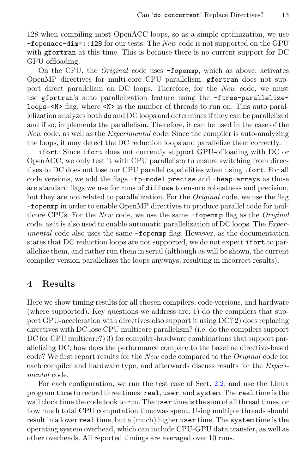128 when compiling most OpenACC loops, so as a simple optimization, we use  $-$ fopenacc $-$ dim=::128 for our tests. The New code is not supported on the GPU with gfortran at this time. This is because there is no current support for DC GPU offloading.

On the CPU, the Original code uses -fopenmp, which as above, activates OpenMP directives for multi-core CPU parallelism. gfortran does not support direct parallelism on DC loops. Therefore, for the New code, we must use gfortran's auto parallelization feature using the -ftree-parallelizeloops=<N> flag, where <N> is the number of threads to run on. This auto parallelization analyzes both do and DC loops and determines if they can be parallelized and if so, implements the parallelism. Therefore, it can be used in the case of the New code, as well as the Experimental code. Since the compiler is auto-analyzing the loops, it may detect the DC reduction loops and parallelize them correctly.

ifort: Since ifort does not currently support GPU-offloading with DC or OpenACC, we only test it with CPU parallelism to ensure switching from directives to DC does not lose our CPU parallel capabilities when using ifort. For all code versions, we add the flags -fp-model precise and -heap-arrays as those are standard flags we use for runs of diffuse to ensure robustness and precision, but they are not related to parallelization. For the Original code, we use the flag -fopenmp in order to enable OpenMP directives to produce parallel code for multicore CPUs. For the New code, we use the same -fopen p flag as the Original code, as it is also used to enable automatic parallelization of DC loops. The Experimental code also uses the same -fopenmp flag. However, as the documentation states that DC reduction loops are not supported, we do not expect ifort to parallelize them, and rather run them in serial (although as will be shown, the current compiler version parallelizes the loops anyways, resulting in incorrect results).

#### <span id="page-10-0"></span>4 Results

Here we show timing results for all chosen compilers, code versions, and hardware (where supported). Key questions we address are: 1) do the compilers that support GPU-acceleration with directives also support it using DC? 2) does replacing directives with DC lose CPU multicore parallelism? (i.e. do the compilers support DC for CPU multicore?) 3) for compiler-hardware combinations that support parallelizing DC, how does the performance compare to the baseline directive-based code? We first report results for the New code compared to the Original code for each compiler and hardware type, and afterwards discuss results for the Experimental code.

For each configuration, we run the test case of Sect. [2.2,](#page-3-2) and use the Linux program time to record three times: real, user, and system. The real time is the wall clock time the code took to run. The user time is the sum of all thread times, or how much total CPU computation time was spent. Using multiple threads should result in a lower real time, but a (much) higher user time. The system time is the operating system overhead, which can include CPU-GPU data transfer, as well as other overheads. All reported timings are averaged over 10 runs.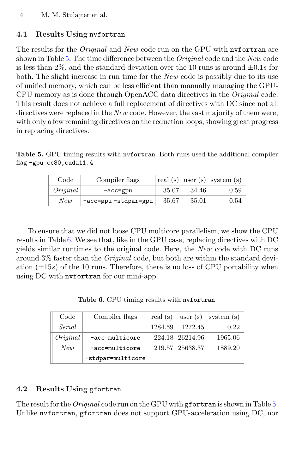### 4.1 Results Using nvfortran

The results for the *Original* and *New* code run on the GPU with nvfortran are shown in Table [5.](#page-11-0) The time difference between the *Original* code and the New code is less than 2\%, and the standard deviation over the 10 runs is around  $\pm 0.1s$  for both. The slight increase in run time for the New code is possibly due to its use of unified memory, which can be less efficient than manually managing the GPU-CPU memory as is done through OpenACC data directives in the Original code. This result does not achieve a full replacement of directives with DC since not all directives were replaced in the New code. However, the vast majority of them were, with only a few remaining directives on the reduction loops, showing great progress in replacing directives.

<span id="page-11-0"></span>Table 5. GPU timing results with nvfortran. Both runs used the additional compiler flag -gpu=cc80,cuda11.4

| Code     | Compiler flags       |        |        | real (s) user (s) system (s) |
|----------|----------------------|--------|--------|------------------------------|
| Original | -acc=gpu             | 35.07  | -34.46 | 0.59                         |
| New      | -acc=gpu -stdpar=gpu | -35.67 | 35.01  | 0.54                         |

To ensure that we did not loose CPU multicore parallelism, we show the CPU results in Table [6.](#page-11-1) We see that, like in the GPU case, replacing directives with DC yields similar runtimes to the original code. Here, the New code with DC runs around 3% faster than the *Original* code, but both are within the standard deviation  $(\pm 15s)$  of the 10 runs. Therefore, there is no loss of CPU portability when using DC with nvfortran for our mini-app.

Table 6. CPU timing results with nvfortran

<span id="page-11-1"></span>

| Code     | Compiler flags     |         |                 | real (s) user (s) system (s) $\vert$ |
|----------|--------------------|---------|-----------------|--------------------------------------|
| Serial   |                    | 1284.59 | 1272.45         | 0.22                                 |
| Original | $-acc = multicore$ |         | 224.18 26214.96 | 1965.06                              |
| New      | $-acc = multicore$ |         | 219.57 25638.37 | 1889.20                              |
|          | -stdpar=multicore  |         |                 |                                      |

#### 4.2 Results Using gfortran

The result for the *Original* code run on the GPU with gfortran is shown in Table [5.](#page-11-0) Unlike nvfortran, gfortran does not support GPU-acceleration using DC, nor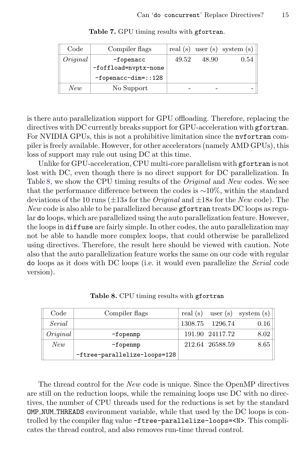| Code     | Compiler flags                        |       |       | real (s) user (s) system (s) |
|----------|---------------------------------------|-------|-------|------------------------------|
| Original | $-f operator$<br>-foffload=nvptx-none | 49.52 | 48.90 | 0.54                         |
|          | $-fopenacc-dim=::128$                 |       |       |                              |
| New      | No Support                            |       |       |                              |

Table 7. GPU timing results with gfortran.

is there auto parallelization support for GPU offloading. Therefore, replacing the directives with DC currently breaks support for GPU-acceleration with gfortran. For NVIDIA GPUs, this is not a prohibitive limitation since the nvfortran compiler is freely available. However, for other accelerators (namely AMD GPUs), this loss of support may rule out using DC at this time.

Unlike for GPU-acceleration, CPU multi-core parallelism with gfortran is not lost with DC, even though there is no direct support for DC parallelization. In Table [8,](#page-12-0) we show the CPU timing results of the *Original* and  $New$  codes. We see that the performance difference between the codes is ∼10%, within the standard deviations of the 10 runs ( $\pm 13s$  for the *Original* and  $\pm 18s$  for the *New* code). The New code is also able to be parallelized because gfortran treats DC loops as regular do loops, which are parallelized using the auto parallelization feature. However, the loops in diffuse are fairly simple. In other codes, the auto parallelization may not be able to handle more complex loops, that could otherwise be parallelized using directives. Therefore, the result here should be viewed with caution. Note also that the auto parallelization feature works the same on our code with regular do loops as it does with DC loops (i.e. it would even parallelize the Serial code version).

<span id="page-12-0"></span>

| Code     | Compiler flags               |                 | real (s) user (s) system (s) |
|----------|------------------------------|-----------------|------------------------------|
| Serial   |                              | 1308.75 1296.74 | 0.16                         |
| Oriqinal | $-fopennp$                   | 191.90 24117.72 | 8.02                         |
| New      | $-fopennp$                   | 212.64 26588.59 | 8.65                         |
|          | -ftree-parallelize-loops=128 |                 |                              |

Table 8. CPU timing results with gfortran

The thread control for the New code is unique. Since the OpenMP directives are still on the reduction loops, while the remaining loops use DC with no directives, the number of CPU threads used for the reductions is set by the standard OMP NUM THREADS environment variable, while that used by the DC loops is controlled by the compiler flag value -ftree-parallelize-loops=<N>. This complicates the thread control, and also removes run-time thread control.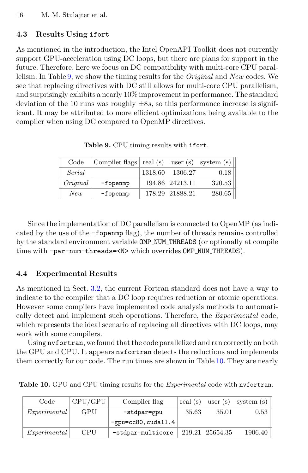### 4.3 Results Using ifort

As mentioned in the introduction, the Intel OpenAPI Toolkit does not currently support GPU-acceleration using DC loops, but there are plans for support in the future. Therefore, here we focus on DC compatibility with multi-core CPU parallelism. In Table [9,](#page-13-0) we show the timing results for the Original and New codes. We see that replacing directives with DC still allows for multi-core CPU parallelism, and surprisingly exhibits a nearly 10% improvement in performance. The standard deviation of the 10 runs was roughly  $\pm 8s$ , so this performance increase is significant. It may be attributed to more efficient optimizations being available to the compiler when using DC compared to OpenMP directives.

<span id="page-13-0"></span>

| Code     | Compiler flags $  \text{ real (s)} \quad \text{user (s)} \quad \text{system (s)}  $ |                 |        |
|----------|-------------------------------------------------------------------------------------|-----------------|--------|
| Serial   |                                                                                     | 1318.60 1306.27 | 0.18   |
| Original | $-f$ openmp                                                                         | 194.86 24213.11 | 320.53 |
| New      | $-f$ openmp                                                                         | 178.29 21888.21 | 280.65 |

Table 9. CPU timing results with ifort.

Since the implementation of DC parallelism is connected to OpenMP (as indicated by the use of the -fopenmp flag), the number of threads remains controlled by the standard environment variable OMP NUM THREADS (or optionally at compile time with -par-num-threads=<N> which overrides OMP\_NUM\_THREADS).

#### 4.4 Experimental Results

As mentioned in Sect. [3.2,](#page-7-0) the current Fortran standard does not have a way to indicate to the compiler that a DC loop requires reduction or atomic operations. However some compilers have implemented code analysis methods to automatically detect and implement such operations. Therefore, the Experimental code, which represents the ideal scenario of replacing all directives with DC loops, may work with some compilers.

Using nvfortran, we found that the code parallelized and ran correctly on both the GPU and CPU. It appears nvfortran detects the reductions and implements them correctly for our code. The run times are shown in Table [10.](#page-13-1) They are nearly

| Code                | CPU/GPU    | Compiler flag          |       |                 | real (s) user (s) system (s) |
|---------------------|------------|------------------------|-------|-----------------|------------------------------|
| <i>Experimental</i> | GPU        | -stdpar=gpu            | 35.63 | 35.01           | 0.53                         |
|                     |            | $-gpu=cc80$ , cuda11.4 |       |                 |                              |
| Experimental        | <b>CPU</b> | -stdpar=multicore      |       | 219.21 25654.35 | 1906.40                      |

<span id="page-13-1"></span>Table 10. GPU and CPU timing results for the *Experimental* code with nvfortran.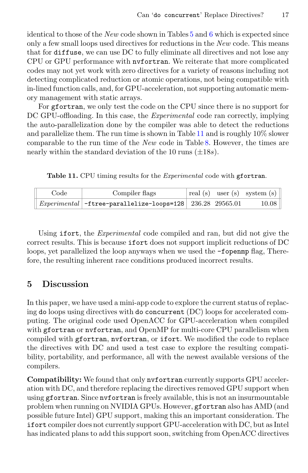identical to those of the New code shown in Tables  $5$  and  $6$  which is expected since only a few small loops used directives for reductions in the New code. This means that for diffuse, we can use DC to fully eliminate all directives and not lose any CPU or GPU performance with nvfortran. We reiterate that more complicated codes may not yet work with zero directives for a variety of reasons including not detecting complicated reduction or atomic operations, not being compatible with in-lined function calls, and, for GPU-acceleration, not supporting automatic memory management with static arrays.

For gfortran, we only test the code on the CPU since there is no support for DC GPU-offloading. In this case, the *Experimental* code ran correctly, implying the auto-parallelization done by the compiler was able to detect the reductions and parallelize them. The run time is shown in Table [11](#page-14-1) and is roughly  $10\%$  slower comparable to the run time of the New code in Table [8.](#page-12-0) However, the times are nearly within the standard deviation of the 10 runs  $(\pm 18s)$ .

<span id="page-14-1"></span>Table 11. CPU timing results for the *Experimental* code with gfortran.

| Code | Compiler flags                                                |  | $\vert$ real (s) user (s) system (s) |
|------|---------------------------------------------------------------|--|--------------------------------------|
|      | $ Experimental $ -ftree-parallelize-loops=128 236.28 29565.01 |  | 10.08                                |

Using **ifort**, the *Experimental* code compiled and ran, but did not give the correct results. This is because ifort does not support implicit reductions of DC loops, yet parallelized the loop anyways when we used the -fopenmp flag, Therefore, the resulting inherent race conditions produced incorrect results.

### <span id="page-14-0"></span>5 Discussion

In this paper, we have used a mini-app code to explore the current status of replacing do loops using directives with do concurrent (DC) loops for accelerated computing. The original code used OpenACC for GPU-acceleration when compiled with gfortran or nyfortran, and OpenMP for multi-core CPU parallelism when compiled with gfortran, nvfortran, or ifort. We modified the code to replace the directives with DC and used a test case to explore the resulting compatibility, portability, and performance, all with the newest available versions of the compilers.

Compatibility: We found that only nvfortran currently supports GPU acceleration with DC, and therefore replacing the directives removed GPU support when using gfortran. Since nvfortran is freely available, this is not an insurmountable problem when running on NVIDIA GPUs. However, gfortran also has AMD (and possible future Intel) GPU support, making this an important consideration. The if ort compiler does not currently support GPU-acceleration with DC, but as Intel has indicated plans to add this support soon, switching from OpenACC directives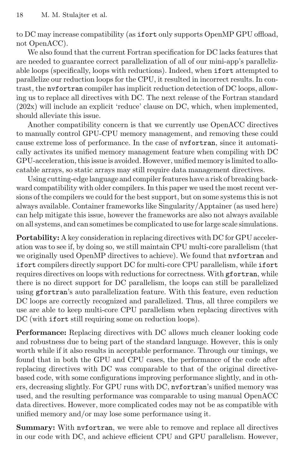to DC may increase compatibility (as ifort only supports OpenMP GPU offload, not OpenACC).

We also found that the current Fortran specification for DC lacks features that are needed to guarantee correct parallelization of all of our mini-app's parallelizable loops (specifically, loops with reductions). Indeed, when ifort attempted to parallelize our reduction loops for the CPU, it resulted in incorrect results. In contrast, the nvfortran compiler has implicit reduction detection of DC loops, allowing us to replace all directives with DC. The next release of the Fortran standard (202x) will include an explicit 'reduce' clause on DC, which, when implemented, should alleviate this issue.

Another compatibility concern is that we currently use OpenACC directives to manually control GPU-CPU memory management, and removing these could cause extreme loss of performance. In the case of nvfortran, since it automatically activates its unified memory management feature when compiling with DC GPU-acceleration, this issue is avoided. However, unified memory islimited to allocatable arrays, so static arrays may still require data management directives.

Using cutting-edge language and compiler features have a risk of breaking backward compatibility with older compilers. In this paper we used the most recent versions of the compilers we could for the best support, but on some systems this is not always available. Container frameworks like Singularity/Apptainer (as used here) can help mitigate this issue, however the frameworks are also not always available on all systems, and can sometimes be complicated to use for large scale simulations.

Portability: A key consideration in replacing directives with DC for GPU acceleration was to see if, by doing so, we still maintain CPU multi-core parallelism (that we originally used OpenMP directives to achieve). We found that nvfortran and ifort compilers directly support DC for multi-core CPU parallelism, while ifort requires directives on loops with reductions for correctness. With gfortran, while there is no direct support for DC parallelism, the loops can still be parallelized using gfortran's auto parallelization feature. With this feature, even reduction DC loops are correctly recognized and parallelized. Thus, all three compilers we use are able to keep multi-core CPU parallelism when replacing directives with DC (with **ifort** still requiring some on reduction loops).

Performance: Replacing directives with DC allows much cleaner looking code and robustness due to being part of the standard language. However, this is only worth while if it also results in acceptable performance. Through our timings, we found that in both the GPU and CPU cases, the performance of the code after replacing directives with DC was comparable to that of the original directivebased code, with some configurations improving performance slightly, and in others, decreasing slightly. For GPU runs with DC, nvfortran's unified memory was used, and the resulting performance was comparable to using manual OpenACC data directives. However, more complicated codes may not be as compatible with unified memory and/or may lose some performance using it.

Summary: With nvfortran, we were able to remove and replace all directives in our code with DC, and achieve efficient CPU and GPU parallelism. However,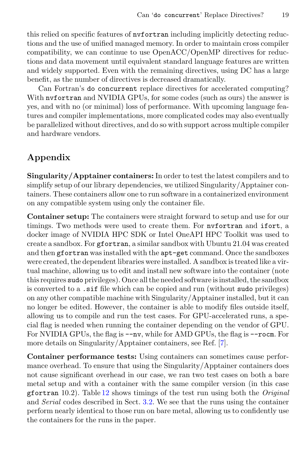this relied on specific features of nvfortran including implicitly detecting reductions and the use of unified managed memory. In order to maintain cross compiler compatibility, we can continue to use OpenACC/OpenMP directives for reductions and data movement until equivalent standard language features are written and widely supported. Even with the remaining directives, using DC has a large benefit, as the number of directives is decreased dramatically.

Can Fortran's do concurrent replace directives for accelerated computing? With nvfortran and NVIDIA GPUs, for some codes (such as ours) the answer is yes, and with no (or minimal) loss of performance. With upcoming language features and compiler implementations, more complicated codes may also eventually be parallelized without directives, and do so with support across multiple compiler and hardware vendors.

## Appendix

Singularity/Apptainer containers: In order to test the latest compilers and to simplify setup of our library dependencies, we utilized Singularity/Apptainer containers. These containers allow one to run software in a containerized environment on any compatible system using only the container file.

Container setup: The containers were straight forward to setup and use for our timings. Two methods were used to create them. For nvfortran and ifort, a docker image of NVIDIA HPC SDK or Intel OneAPI HPC Toolkit was used to create a sandbox. For gfortran, a similar sandbox with Ubuntu 21.04 was created and then gfortran was installed with the  $apt-get$  command. Once the sandboxes were created, the dependent libraries were installed. A sandbox is treated like a virtual machine, allowing us to edit and install new software into the container (note this requires sudo privileges). Once all the needed software is installed, the sandbox is converted to a .sif file which can be copied and run (without sudo privileges) on any other compatible machine with Singularity/Apptainer installed, but it can no longer be edited. However, the container is able to modify files outside itself, allowing us to compile and run the test cases. For GPU-accelerated runs, a special flag is needed when running the container depending on the vendor of GPU. For NVIDIA GPUs, the flag is  $-\text{nv}$ , while for AMD GPUs, the flag is  $-\text{room}$ . For more details on Singularity/Apptainer containers, see Ref. [\[7\]](#page-18-10).

Container performance tests: Using containers can sometimes cause performance overhead. To ensure that using the Singularity/Apptainer containers does not cause significant overhead in our case, we ran two test cases on both a bare metal setup and with a container with the same compiler version (in this case gfortran 10.2). Table  $12$  shows timings of the test run using both the *Original* and Serial codes described in Sect. [3.2.](#page-7-0) We see that the runs using the container perform nearly identical to those run on bare metal, allowing us to confidently use the containers for the runs in the paper.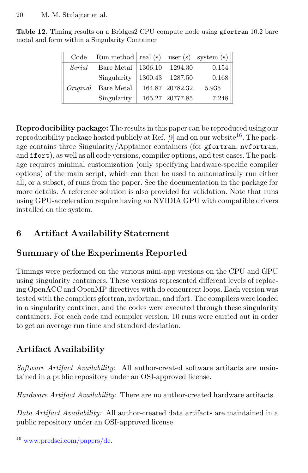| Code   | Run method   real (s) user (s) system (s) |                 |       |
|--------|-------------------------------------------|-----------------|-------|
| Serial | Bare Metal $ 1306.10\rangle$              | 1294.30         | 0.154 |
|        | Singularity                               | 1300.43 1287.50 | 0.168 |
|        | <i>Original</i> Bare Metal                | 164.87 20782.32 | 5.935 |
|        | Singularity                               | 165.27 20777.85 | 7.248 |

<span id="page-17-0"></span>Table 12. Timing results on a Bridges2 CPU compute node using gfortran 10.2 bare metal and form within a Singularity Container

Reproducibility package: The results in this paper can be reproduced using our reproducibility package hosted publicly at Ref.  $[9]$  and on our website<sup>[16](#page-17-1)</sup>. The package contains three Singularity/Apptainer containers (for gfortran, nvfortran, and ifort), as well as all code versions, compiler options, and test cases. The package requires minimal customization (only specifying hardware-specific compiler options) of the main script, which can then be used to automatically run either all, or a subset, of runs from the paper. See the documentation in the package for more details. A reference solution is also provided for validation. Note that runs using GPU-acceleration require having an NVIDIA GPU with compatible drivers installed on the system.

## 6 Artifact Availability Statement

## Summary of the Experiments Reported

Timings were performed on the various mini-app versions on the CPU and GPU using singularity containers. These versions represented different levels of replacing OpenACC and OpenMP directives with do concurrent loops. Each version was tested with the compilers gfortran, nvfortran, and ifort. The compilers were loaded in a singularity container, and the codes were executed through these singularity containers. For each code and compiler version, 10 runs were carried out in order to get an average run time and standard deviation.

## Artifact Availability

Software Artifact Availability: All author-created software artifacts are maintained in a public repository under an OSI-approved license.

Hardware Artifact Availability: There are no author-created hardware artifacts.

Data Artifact Availability: All author-created data artifacts are maintained in a public repository under an OSI-approved license.

<span id="page-17-1"></span><sup>16</sup> [www.predsci.com/papers/dc.](www.predsci.com/papers/dc)